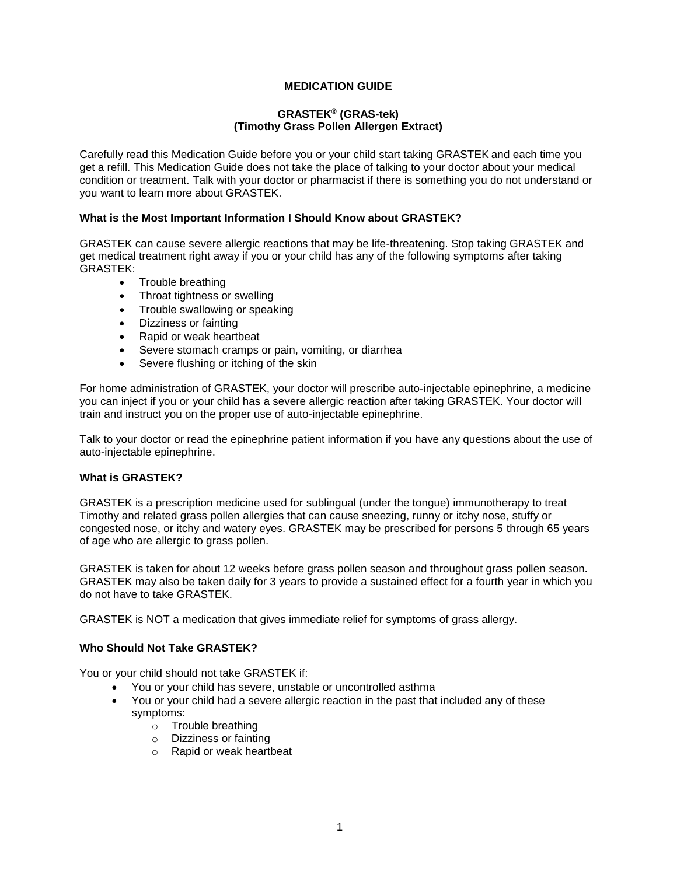## **MEDICATION GUIDE**

#### **GRASTEK® (GRAS-tek) (Timothy Grass Pollen Allergen Extract)**

Carefully read this Medication Guide before you or your child start taking GRASTEK and each time you get a refill. This Medication Guide does not take the place of talking to your doctor about your medical condition or treatment. Talk with your doctor or pharmacist if there is something you do not understand or you want to learn more about GRASTEK.

#### **What is the Most Important Information I Should Know about GRASTEK?**

GRASTEK can cause severe allergic reactions that may be life-threatening. Stop taking GRASTEK and get medical treatment right away if you or your child has any of the following symptoms after taking GRASTEK:

- Trouble breathing
- Throat tightness or swelling
- Trouble swallowing or speaking
- Dizziness or fainting
- Rapid or weak heartbeat
- Severe stomach cramps or pain, vomiting, or diarrhea
- Severe flushing or itching of the skin

For home administration of GRASTEK, your doctor will prescribe auto-injectable epinephrine, a medicine you can inject if you or your child has a severe allergic reaction after taking GRASTEK. Your doctor will train and instruct you on the proper use of auto-injectable epinephrine.

Talk to your doctor or read the epinephrine patient information if you have any questions about the use of auto-injectable epinephrine.

#### **What is GRASTEK?**

GRASTEK is a prescription medicine used for sublingual (under the tongue) immunotherapy to treat Timothy and related grass pollen allergies that can cause sneezing, runny or itchy nose, stuffy or congested nose, or itchy and watery eyes. GRASTEK may be prescribed for persons 5 through 65 years of age who are allergic to grass pollen.

GRASTEK is taken for about 12 weeks before grass pollen season and throughout grass pollen season. GRASTEK may also be taken daily for 3 years to provide a sustained effect for a fourth year in which you do not have to take GRASTEK.

GRASTEK is NOT a medication that gives immediate relief for symptoms of grass allergy.

#### **Who Should Not Take GRASTEK?**

You or your child should not take GRASTEK if:

- You or your child has severe, unstable or uncontrolled asthma
- You or your child had a severe allergic reaction in the past that included any of these symptoms:
	- o Trouble breathing
	- o Dizziness or fainting
	- o Rapid or weak heartbeat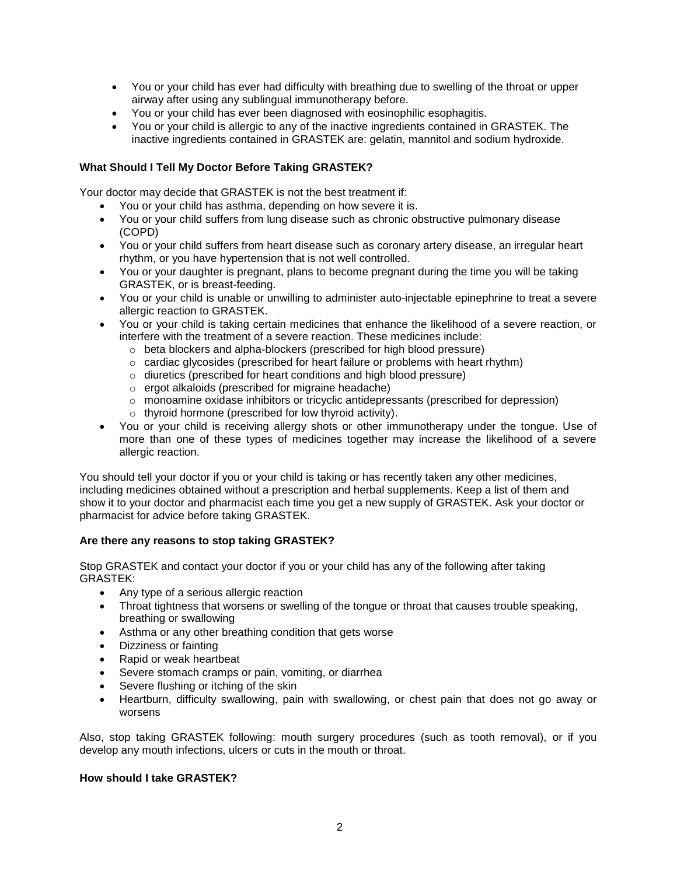- You or your child has ever had difficulty with breathing due to swelling of the throat or upper airway after using any sublingual immunotherapy before.
- You or your child has ever been diagnosed with eosinophilic esophagitis.
- You or your child is allergic to any of the inactive ingredients contained in GRASTEK. The inactive ingredients contained in GRASTEK are: gelatin, mannitol and sodium hydroxide.

## **What Should I Tell My Doctor Before Taking GRASTEK?**

Your doctor may decide that GRASTEK is not the best treatment if:

- You or your child has asthma, depending on how severe it is.
- You or your child suffers from lung disease such as chronic obstructive pulmonary disease (COPD)
- You or your child suffers from heart disease such as coronary artery disease, an irregular heart rhythm, or you have hypertension that is not well controlled.
- You or your daughter is pregnant, plans to become pregnant during the time you will be taking GRASTEK, or is breast-feeding.
- You or your child is unable or unwilling to administer auto-injectable epinephrine to treat a severe allergic reaction to GRASTEK.
- You or your child is taking certain medicines that enhance the likelihood of a severe reaction, or interfere with the treatment of a severe reaction. These medicines include:
	- o beta blockers and alpha-blockers (prescribed for high blood pressure)
	- $\circ$  cardiac glycosides (prescribed for heart failure or problems with heart rhythm)
	- o diuretics (prescribed for heart conditions and high blood pressure)
	- o ergot alkaloids (prescribed for migraine headache)
	- o monoamine oxidase inhibitors or tricyclic antidepressants (prescribed for depression)
	- o thyroid hormone (prescribed for low thyroid activity).
- You or your child is receiving allergy shots or other immunotherapy under the tongue. Use of more than one of these types of medicines together may increase the likelihood of a severe allergic reaction.

You should tell your doctor if you or your child is taking or has recently taken any other medicines, including medicines obtained without a prescription and herbal supplements. Keep a list of them and show it to your doctor and pharmacist each time you get a new supply of GRASTEK. Ask your doctor or pharmacist for advice before taking GRASTEK.

#### **Are there any reasons to stop taking GRASTEK?**

Stop GRASTEK and contact your doctor if you or your child has any of the following after taking GRASTEK:

- Any type of a serious allergic reaction
- Throat tightness that worsens or swelling of the tongue or throat that causes trouble speaking, breathing or swallowing
- Asthma or any other breathing condition that gets worse
- Dizziness or fainting
- Rapid or weak heartbeat
- Severe stomach cramps or pain, vomiting, or diarrhea
- Severe flushing or itching of the skin
- Heartburn, difficulty swallowing, pain with swallowing, or chest pain that does not go away or worsens

Also, stop taking GRASTEK following: mouth surgery procedures (such as tooth removal), or if you develop any mouth infections, ulcers or cuts in the mouth or throat.

#### **How should I take GRASTEK?**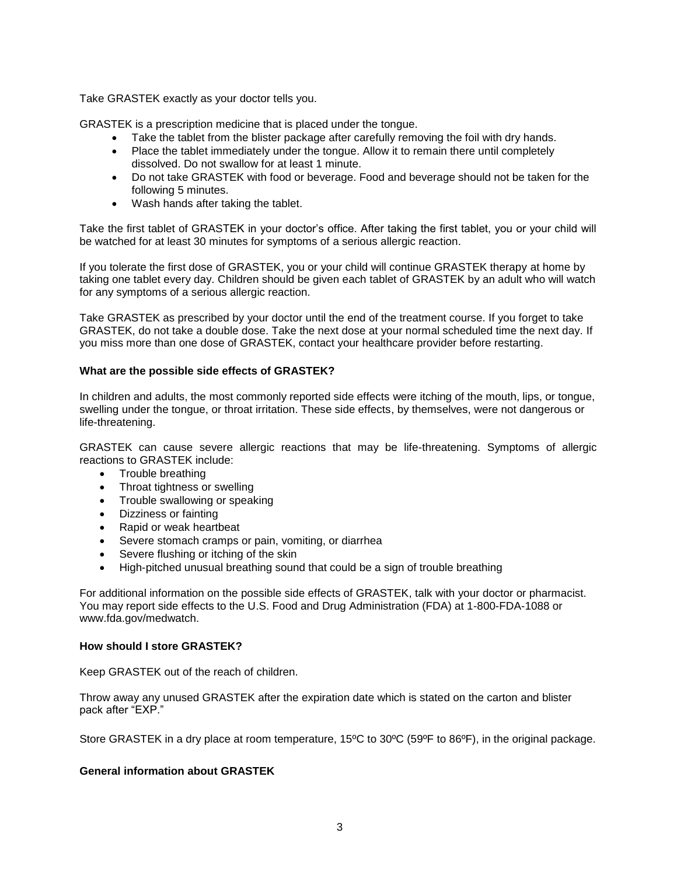Take GRASTEK exactly as your doctor tells you.

GRASTEK is a prescription medicine that is placed under the tongue.

- Take the tablet from the blister package after carefully removing the foil with dry hands.
- Place the tablet immediately under the tongue. Allow it to remain there until completely dissolved. Do not swallow for at least 1 minute.
- Do not take GRASTEK with food or beverage. Food and beverage should not be taken for the following 5 minutes.
- Wash hands after taking the tablet.

Take the first tablet of GRASTEK in your doctor's office. After taking the first tablet, you or your child will be watched for at least 30 minutes for symptoms of a serious allergic reaction.

If you tolerate the first dose of GRASTEK, you or your child will continue GRASTEK therapy at home by taking one tablet every day. Children should be given each tablet of GRASTEK by an adult who will watch for any symptoms of a serious allergic reaction.

Take GRASTEK as prescribed by your doctor until the end of the treatment course. If you forget to take GRASTEK, do not take a double dose. Take the next dose at your normal scheduled time the next day. If you miss more than one dose of GRASTEK, contact your healthcare provider before restarting.

### **What are the possible side effects of GRASTEK?**

In children and adults, the most commonly reported side effects were itching of the mouth, lips, or tongue, swelling under the tongue, or throat irritation. These side effects, by themselves, were not dangerous or life-threatening.

GRASTEK can cause severe allergic reactions that may be life-threatening. Symptoms of allergic reactions to GRASTEK include:

- Trouble breathing
- Throat tightness or swelling
- Trouble swallowing or speaking
- Dizziness or fainting
- Rapid or weak heartbeat
- Severe stomach cramps or pain, vomiting, or diarrhea
- Severe flushing or itching of the skin
- High-pitched unusual breathing sound that could be a sign of trouble breathing

For additional information on the possible side effects of GRASTEK, talk with your doctor or pharmacist. You may report side effects to the U.S. Food and Drug Administration (FDA) at 1-800-FDA-1088 or www.fda.gov/medwatch.

#### **How should I store GRASTEK?**

Keep GRASTEK out of the reach of children.

Throw away any unused GRASTEK after the expiration date which is stated on the carton and blister pack after "EXP."

Store GRASTEK in a dry place at room temperature, 15ºC to 30ºC (59ºF to 86ºF), in the original package.

#### **General information about GRASTEK**